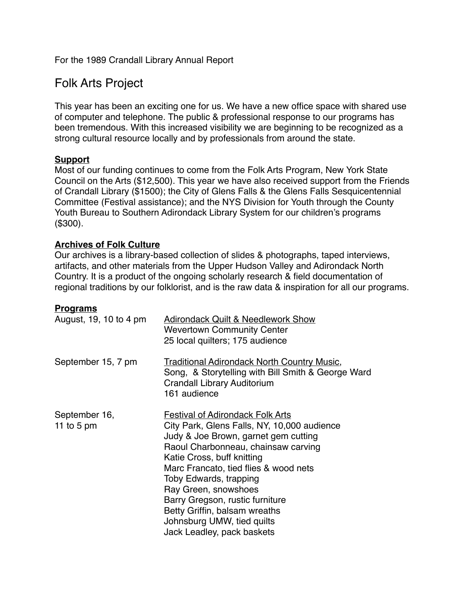For the 1989 Crandall Library Annual Report

# Folk Arts Project

This year has been an exciting one for us. We have a new office space with shared use of computer and telephone. The public & professional response to our programs has been tremendous. With this increased visibility we are beginning to be recognized as a strong cultural resource locally and by professionals from around the state.

# **Support**

Most of our funding continues to come from the Folk Arts Program, New York State Council on the Arts (\$12,500). This year we have also received support from the Friends of Crandall Library (\$1500); the City of Glens Falls & the Glens Falls Sesquicentennial Committee (Festival assistance); and the NYS Division for Youth through the County Youth Bureau to Southern Adirondack Library System for our children's programs (\$300).

# **Archives of Folk Culture**

Our archives is a library-based collection of slides & photographs, taped interviews, artifacts, and other materials from the Upper Hudson Valley and Adirondack North Country. It is a product of the ongoing scholarly research & field documentation of regional traditions by our folklorist, and is the raw data & inspiration for all our programs.

### **Programs**

| August, 19, 10 to 4 pm      | <b>Adirondack Quilt &amp; Needlework Show</b><br><b>Wevertown Community Center</b><br>25 local quilters; 175 audience                                                                                                                                                                                                                                                                                                          |
|-----------------------------|--------------------------------------------------------------------------------------------------------------------------------------------------------------------------------------------------------------------------------------------------------------------------------------------------------------------------------------------------------------------------------------------------------------------------------|
| September 15, 7 pm          | <b>Traditional Adirondack North Country Music,</b><br>Song, & Storytelling with Bill Smith & George Ward<br><b>Crandall Library Auditorium</b><br>161 audience                                                                                                                                                                                                                                                                 |
| September 16,<br>11 to 5 pm | <b>Festival of Adirondack Folk Arts</b><br>City Park, Glens Falls, NY, 10,000 audience<br>Judy & Joe Brown, garnet gem cutting<br>Raoul Charbonneau, chainsaw carving<br>Katie Cross, buff knitting<br>Marc Francato, tied flies & wood nets<br>Toby Edwards, trapping<br>Ray Green, snowshoes<br>Barry Gregson, rustic furniture<br>Betty Griffin, balsam wreaths<br>Johnsburg UMW, tied quilts<br>Jack Leadley, pack baskets |